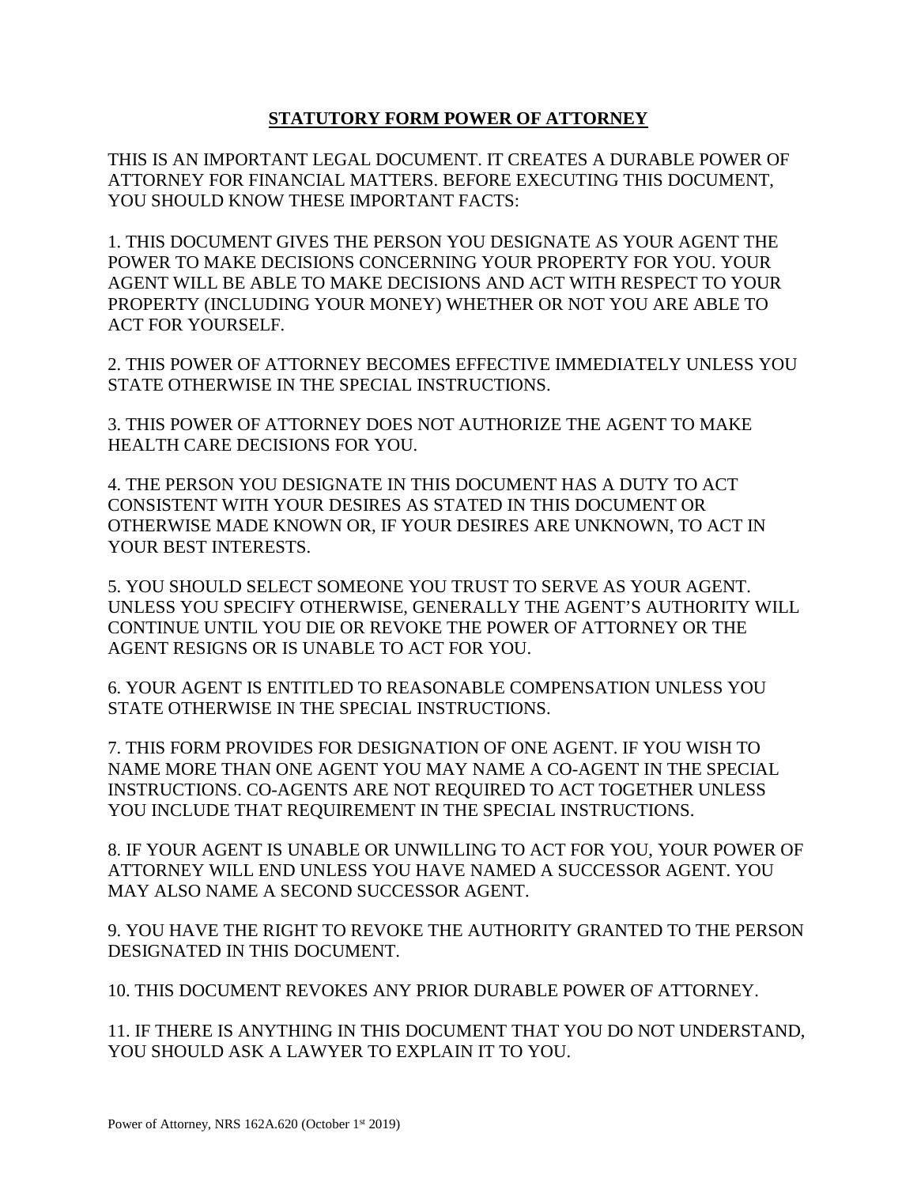# **STATUTORY FORM POWER OF ATTORNEY**

THIS IS AN IMPORTANT LEGAL DOCUMENT. IT CREATES A DURABLE POWER OF ATTORNEY FOR FINANCIAL MATTERS. BEFORE EXECUTING THIS DOCUMENT, YOU SHOULD KNOW THESE IMPORTANT FACTS:

1. THIS DOCUMENT GIVES THE PERSON YOU DESIGNATE AS YOUR AGENT THE POWER TO MAKE DECISIONS CONCERNING YOUR PROPERTY FOR YOU. YOUR AGENT WILL BE ABLE TO MAKE DECISIONS AND ACT WITH RESPECT TO YOUR PROPERTY (INCLUDING YOUR MONEY) WHETHER OR NOT YOU ARE ABLE TO ACT FOR YOURSELF.

2. THIS POWER OF ATTORNEY BECOMES EFFECTIVE IMMEDIATELY UNLESS YOU STATE OTHERWISE IN THE SPECIAL INSTRUCTIONS.

3. THIS POWER OF ATTORNEY DOES NOT AUTHORIZE THE AGENT TO MAKE HEALTH CARE DECISIONS FOR YOU.

4. THE PERSON YOU DESIGNATE IN THIS DOCUMENT HAS A DUTY TO ACT CONSISTENT WITH YOUR DESIRES AS STATED IN THIS DOCUMENT OR OTHERWISE MADE KNOWN OR, IF YOUR DESIRES ARE UNKNOWN, TO ACT IN YOUR BEST INTERESTS.

5. YOU SHOULD SELECT SOMEONE YOU TRUST TO SERVE AS YOUR AGENT. UNLESS YOU SPECIFY OTHERWISE, GENERALLY THE AGENT'S AUTHORITY WILL CONTINUE UNTIL YOU DIE OR REVOKE THE POWER OF ATTORNEY OR THE AGENT RESIGNS OR IS UNABLE TO ACT FOR YOU.

6. YOUR AGENT IS ENTITLED TO REASONABLE COMPENSATION UNLESS YOU STATE OTHERWISE IN THE SPECIAL INSTRUCTIONS.

7. THIS FORM PROVIDES FOR DESIGNATION OF ONE AGENT. IF YOU WISH TO NAME MORE THAN ONE AGENT YOU MAY NAME A CO-AGENT IN THE SPECIAL INSTRUCTIONS. CO-AGENTS ARE NOT REQUIRED TO ACT TOGETHER UNLESS YOU INCLUDE THAT REQUIREMENT IN THE SPECIAL INSTRUCTIONS.

8. IF YOUR AGENT IS UNABLE OR UNWILLING TO ACT FOR YOU, YOUR POWER OF ATTORNEY WILL END UNLESS YOU HAVE NAMED A SUCCESSOR AGENT. YOU MAY ALSO NAME A SECOND SUCCESSOR AGENT.

9. YOU HAVE THE RIGHT TO REVOKE THE AUTHORITY GRANTED TO THE PERSON DESIGNATED IN THIS DOCUMENT.

10. THIS DOCUMENT REVOKES ANY PRIOR DURABLE POWER OF ATTORNEY.

11. IF THERE IS ANYTHING IN THIS DOCUMENT THAT YOU DO NOT UNDERSTAND, YOU SHOULD ASK A LAWYER TO EXPLAIN IT TO YOU.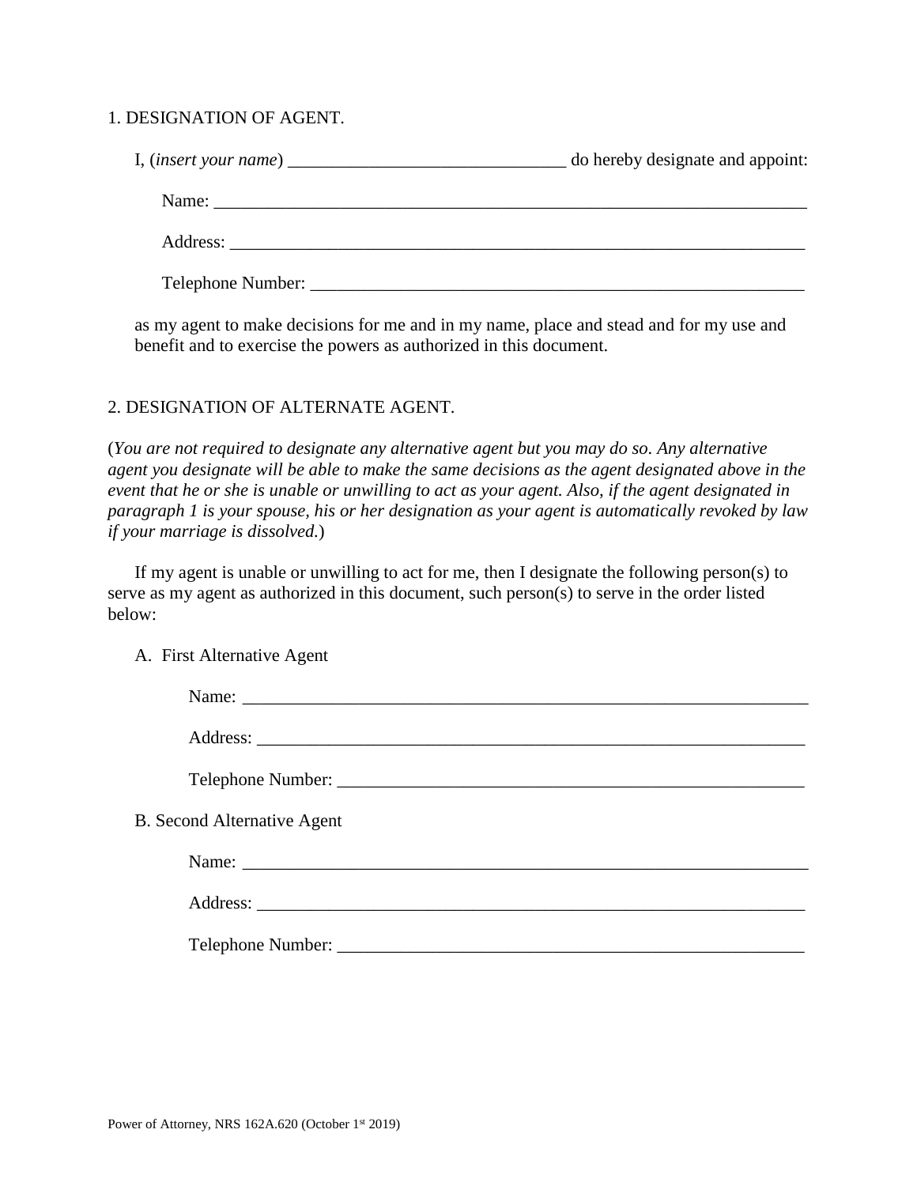### 1. DESIGNATION OF AGENT.

I, (*insert your name*) \_\_\_\_\_\_\_\_\_\_\_\_\_\_\_\_\_\_\_\_\_\_\_\_\_\_\_\_\_\_\_ do hereby designate and appoint: Name: \_\_\_\_\_\_\_\_\_\_\_\_\_\_\_\_\_\_\_\_\_\_\_\_\_\_\_\_\_\_\_\_\_\_\_\_\_\_\_\_\_\_\_\_\_\_\_\_\_\_\_\_\_\_\_\_\_\_\_\_\_\_\_\_\_\_ Address: \_\_\_\_\_\_\_\_\_\_\_\_\_\_\_\_\_\_\_\_\_\_\_\_\_\_\_\_\_\_\_\_\_\_\_\_\_\_\_\_\_\_\_\_\_\_\_\_\_\_\_\_\_\_\_\_\_\_\_\_\_\_\_\_ Telephone Number: \_\_\_\_\_\_\_\_\_\_\_\_\_\_\_\_\_\_\_\_\_\_\_\_\_\_\_\_\_\_\_\_\_\_\_\_\_\_\_\_\_\_\_\_\_\_\_\_\_\_\_\_\_\_\_

as my agent to make decisions for me and in my name, place and stead and for my use and benefit and to exercise the powers as authorized in this document.

## 2. DESIGNATION OF ALTERNATE AGENT.

(*You are not required to designate any alternative agent but you may do so. Any alternative agent you designate will be able to make the same decisions as the agent designated above in the event that he or she is unable or unwilling to act as your agent. Also, if the agent designated in paragraph 1 is your spouse, his or her designation as your agent is automatically revoked by law if your marriage is dissolved.*)

If my agent is unable or unwilling to act for me, then I designate the following person(s) to serve as my agent as authorized in this document, such person(s) to serve in the order listed below:

A. First Alternative Agent

| <b>B.</b> Second Alternative Agent |  |
|------------------------------------|--|
| Name:                              |  |
|                                    |  |
|                                    |  |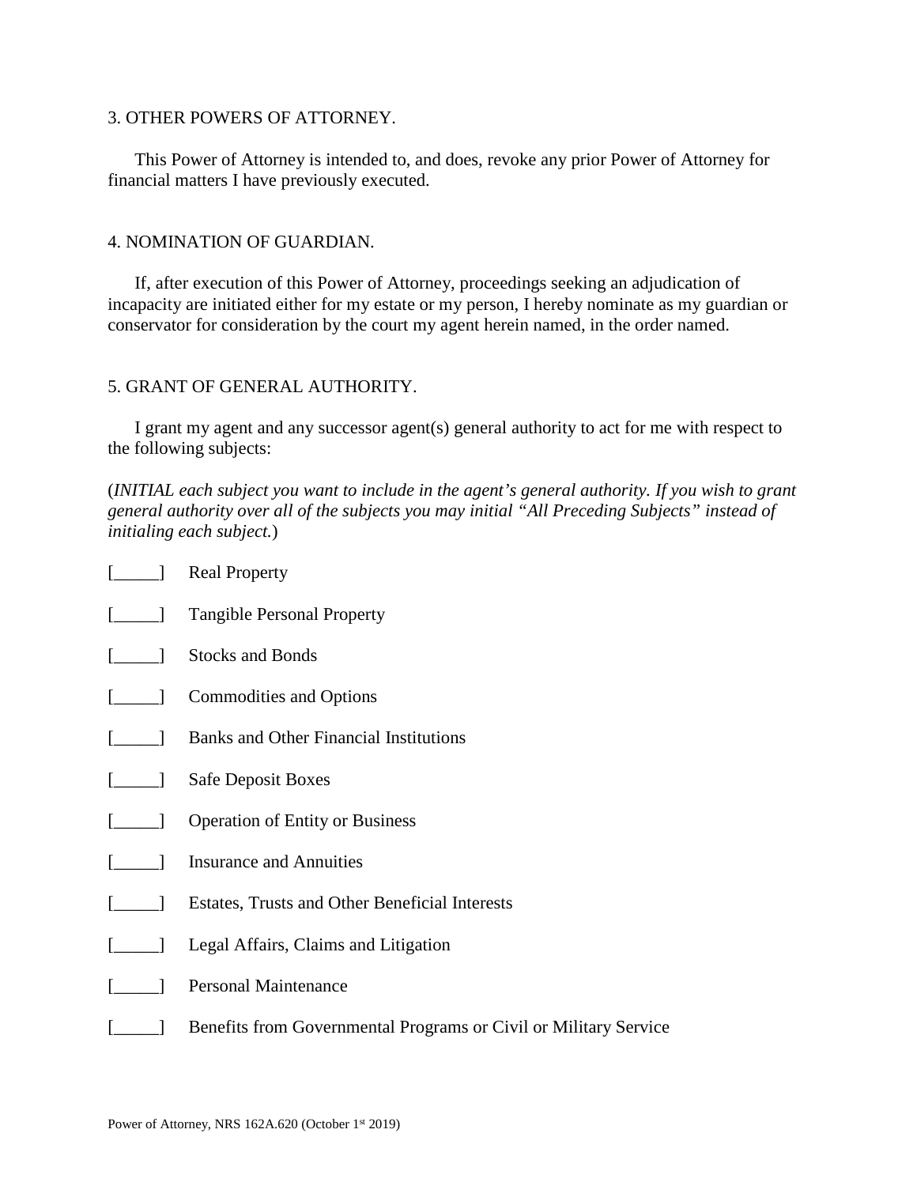### 3. OTHER POWERS OF ATTORNEY.

This Power of Attorney is intended to, and does, revoke any prior Power of Attorney for financial matters I have previously executed.

#### 4. NOMINATION OF GUARDIAN.

If, after execution of this Power of Attorney, proceedings seeking an adjudication of incapacity are initiated either for my estate or my person, I hereby nominate as my guardian or conservator for consideration by the court my agent herein named, in the order named.

### 5. GRANT OF GENERAL AUTHORITY.

I grant my agent and any successor agent(s) general authority to act for me with respect to the following subjects:

(*INITIAL each subject you want to include in the agent's general authority. If you wish to grant general authority over all of the subjects you may initial "All Preceding Subjects" instead of initialing each subject.*)

| $[\_\_\]$                                                        | <b>Real Property</b>                                                  |
|------------------------------------------------------------------|-----------------------------------------------------------------------|
|                                                                  | [_____] Tangible Personal Property                                    |
| $\begin{bmatrix} \begin{array}{ccc} \end{array} \end{bmatrix}$   | <b>Stocks and Bonds</b>                                               |
| $\begin{bmatrix} \begin{array}{ccc} \end{array} \end{bmatrix}$   | <b>Commodities and Options</b>                                        |
| $\begin{bmatrix} \begin{array}{ccc} \end{array} \end{bmatrix}$   | <b>Banks and Other Financial Institutions</b>                         |
|                                                                  | [______] Safe Deposit Boxes                                           |
|                                                                  | [______] Operation of Entity or Business                              |
|                                                                  | [1441] Insurance and Annuities                                        |
|                                                                  | <b>Estates, Trusts and Other Beneficial Interests</b>                 |
| $\begin{bmatrix} \begin{array}{ccc} \end{array} & \end{bmatrix}$ | Legal Affairs, Claims and Litigation                                  |
|                                                                  | <b>Personal Maintenance</b>                                           |
|                                                                  | [16] Benefits from Governmental Programs or Civil or Military Service |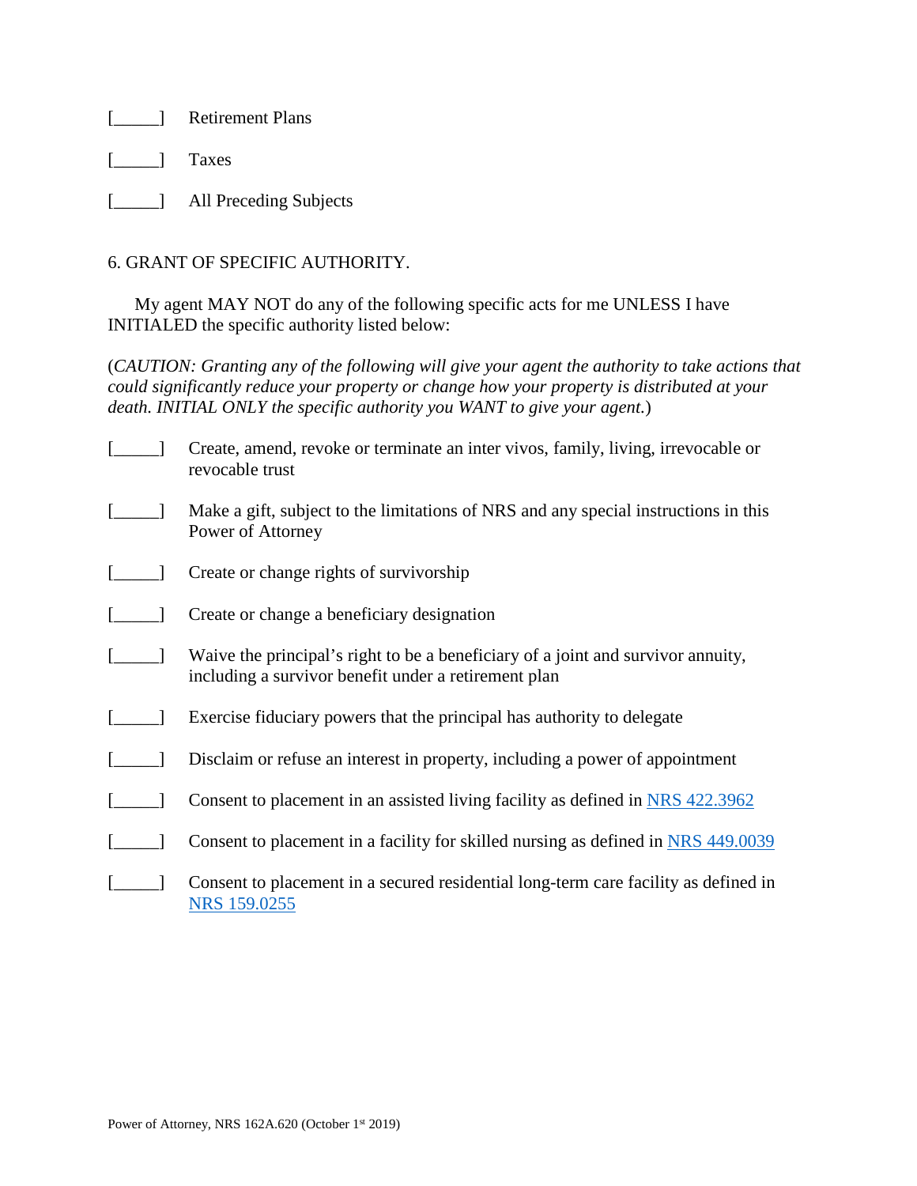[**\_\_\_\_\_\_]** Retirement Plans

[\_\_\_\_\_] Taxes

[**\_\_\_\_\_\_**] All Preceding Subjects

## 6. GRANT OF SPECIFIC AUTHORITY.

My agent MAY NOT do any of the following specific acts for me UNLESS I have INITIALED the specific authority listed below:

(*CAUTION: Granting any of the following will give your agent the authority to take actions that could significantly reduce your property or change how your property is distributed at your death. INITIAL ONLY the specific authority you WANT to give your agent.*)

| Create, amend, revoke or terminate an inter vivos, family, living, irrevocable or<br>revocable trust                                     |
|------------------------------------------------------------------------------------------------------------------------------------------|
| Make a gift, subject to the limitations of NRS and any special instructions in this<br>Power of Attorney                                 |
| Create or change rights of survivorship                                                                                                  |
| Create or change a beneficiary designation                                                                                               |
| Waive the principal's right to be a beneficiary of a joint and survivor annuity,<br>including a survivor benefit under a retirement plan |
| Exercise fiduciary powers that the principal has authority to delegate                                                                   |
| Disclaim or refuse an interest in property, including a power of appointment                                                             |
| Consent to placement in an assisted living facility as defined in NRS 422.3962                                                           |
| Consent to placement in a facility for skilled nursing as defined in NRS 449.0039                                                        |
| Consent to placement in a secured residential long-term care facility as defined in<br>NRS 159.0255                                      |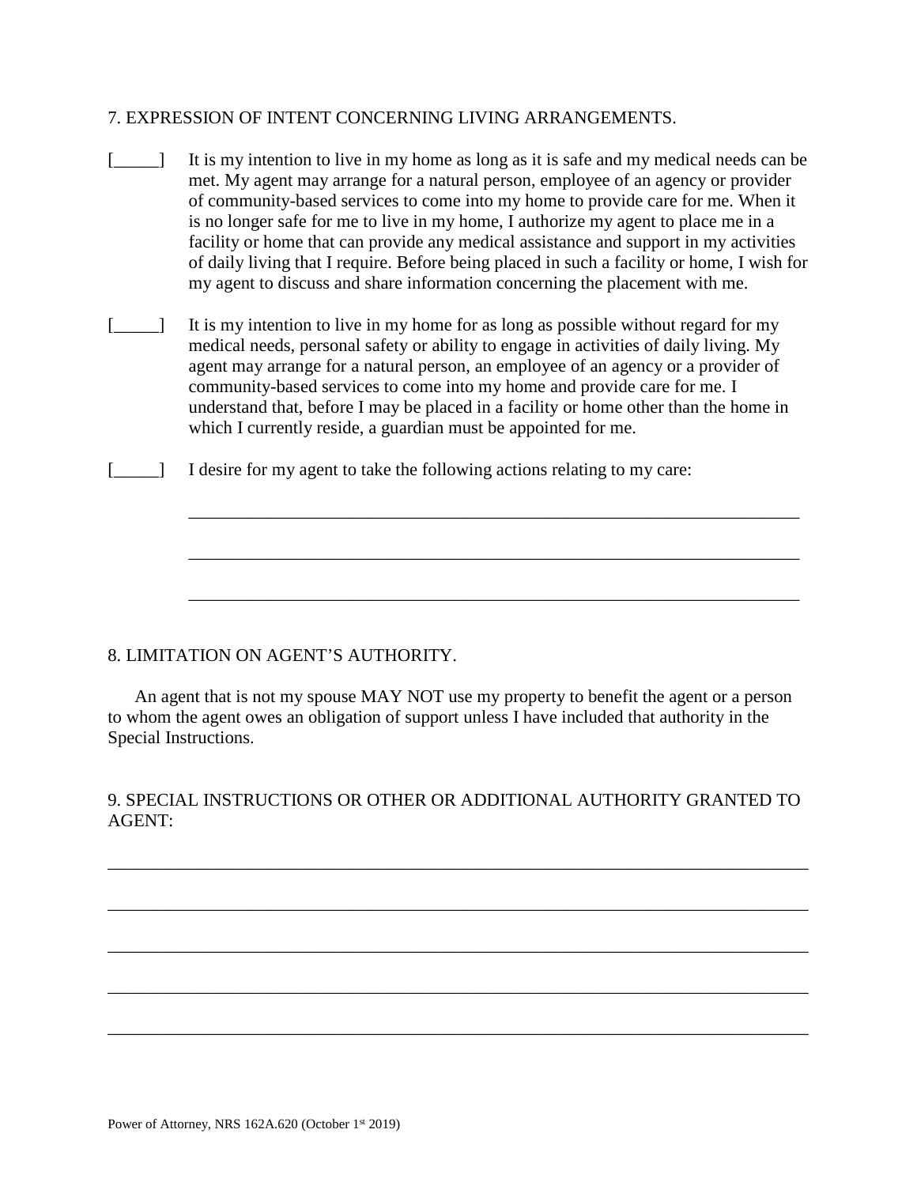### 7. EXPRESSION OF INTENT CONCERNING LIVING ARRANGEMENTS.

- [\_\_\_\_] It is my intention to live in my home as long as it is safe and my medical needs can be met. My agent may arrange for a natural person, employee of an agency or provider of community-based services to come into my home to provide care for me. When it is no longer safe for me to live in my home, I authorize my agent to place me in a facility or home that can provide any medical assistance and support in my activities of daily living that I require. Before being placed in such a facility or home, I wish for my agent to discuss and share information concerning the placement with me.
- [\_\_\_\_\_] It is my intention to live in my home for as long as possible without regard for my medical needs, personal safety or ability to engage in activities of daily living. My agent may arrange for a natural person, an employee of an agency or a provider of community-based services to come into my home and provide care for me. I understand that, before I may be placed in a facility or home other than the home in which I currently reside, a guardian must be appointed for me.

\_\_\_\_\_\_\_\_\_\_\_\_\_\_\_\_\_\_\_\_\_\_\_\_\_\_\_\_\_\_\_\_\_\_\_\_\_\_\_\_\_\_\_\_\_\_\_\_\_\_\_\_\_\_\_\_\_\_\_\_\_\_\_\_\_\_\_\_

\_\_\_\_\_\_\_\_\_\_\_\_\_\_\_\_\_\_\_\_\_\_\_\_\_\_\_\_\_\_\_\_\_\_\_\_\_\_\_\_\_\_\_\_\_\_\_\_\_\_\_\_\_\_\_\_\_\_\_\_\_\_\_\_\_\_\_\_

\_\_\_\_\_\_\_\_\_\_\_\_\_\_\_\_\_\_\_\_\_\_\_\_\_\_\_\_\_\_\_\_\_\_\_\_\_\_\_\_\_\_\_\_\_\_\_\_\_\_\_\_\_\_\_\_\_\_\_\_\_\_\_\_\_\_\_\_

[\_\_\_\_] I desire for my agent to take the following actions relating to my care:

### 8. LIMITATION ON AGENT'S AUTHORITY.

An agent that is not my spouse MAY NOT use my property to benefit the agent or a person to whom the agent owes an obligation of support unless I have included that authority in the Special Instructions.

## 9. SPECIAL INSTRUCTIONS OR OTHER OR ADDITIONAL AUTHORITY GRANTED TO AGENT:

\_\_\_\_\_\_\_\_\_\_\_\_\_\_\_\_\_\_\_\_\_\_\_\_\_\_\_\_\_\_\_\_\_\_\_\_\_\_\_\_\_\_\_\_\_\_\_\_\_\_\_\_\_\_\_\_\_\_\_\_\_\_\_\_\_\_\_\_\_\_\_\_\_\_\_\_\_\_

\_\_\_\_\_\_\_\_\_\_\_\_\_\_\_\_\_\_\_\_\_\_\_\_\_\_\_\_\_\_\_\_\_\_\_\_\_\_\_\_\_\_\_\_\_\_\_\_\_\_\_\_\_\_\_\_\_\_\_\_\_\_\_\_\_\_\_\_\_\_\_\_\_\_\_\_\_\_

\_\_\_\_\_\_\_\_\_\_\_\_\_\_\_\_\_\_\_\_\_\_\_\_\_\_\_\_\_\_\_\_\_\_\_\_\_\_\_\_\_\_\_\_\_\_\_\_\_\_\_\_\_\_\_\_\_\_\_\_\_\_\_\_\_\_\_\_\_\_\_\_\_\_\_\_\_\_

\_\_\_\_\_\_\_\_\_\_\_\_\_\_\_\_\_\_\_\_\_\_\_\_\_\_\_\_\_\_\_\_\_\_\_\_\_\_\_\_\_\_\_\_\_\_\_\_\_\_\_\_\_\_\_\_\_\_\_\_\_\_\_\_\_\_\_\_\_\_\_\_\_\_\_\_\_\_

\_\_\_\_\_\_\_\_\_\_\_\_\_\_\_\_\_\_\_\_\_\_\_\_\_\_\_\_\_\_\_\_\_\_\_\_\_\_\_\_\_\_\_\_\_\_\_\_\_\_\_\_\_\_\_\_\_\_\_\_\_\_\_\_\_\_\_\_\_\_\_\_\_\_\_\_\_\_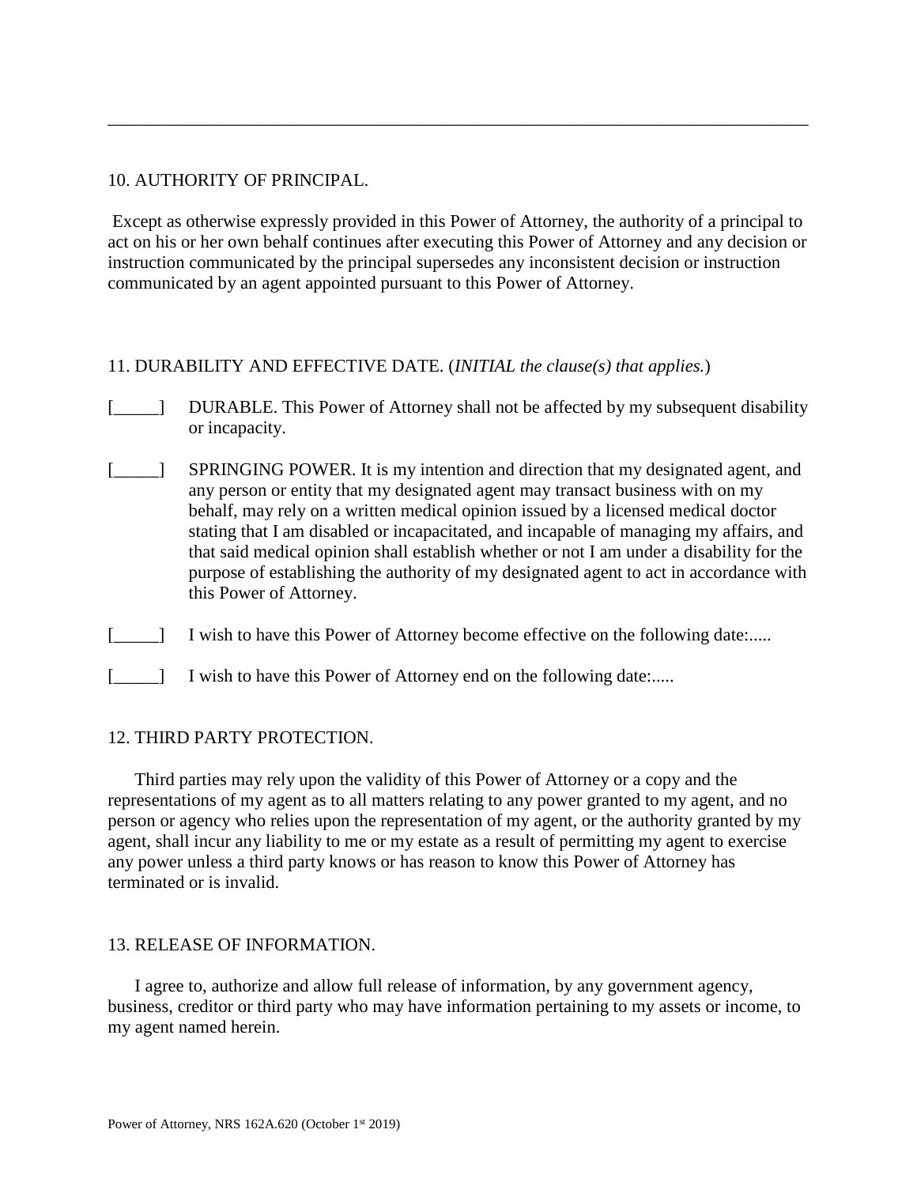### 10. AUTHORITY OF PRINCIPAL.

Except as otherwise expressly provided in this Power of Attorney, the authority of a principal to act on his or her own behalf continues after executing this Power of Attorney and any decision or instruction communicated by the principal supersedes any inconsistent decision or instruction communicated by an agent appointed pursuant to this Power of Attorney.

\_\_\_\_\_\_\_\_\_\_\_\_\_\_\_\_\_\_\_\_\_\_\_\_\_\_\_\_\_\_\_\_\_\_\_\_\_\_\_\_\_\_\_\_\_\_\_\_\_\_\_\_\_\_\_\_\_\_\_\_\_\_\_\_\_\_\_\_\_\_\_\_\_\_\_\_\_\_

### 11. DURABILITY AND EFFECTIVE DATE. (*INITIAL the clause(s) that applies.*)

- [\_\_\_\_\_] DURABLE. This Power of Attorney shall not be affected by my subsequent disability or incapacity.
- [\_\_\_\_\_] SPRINGING POWER. It is my intention and direction that my designated agent, and any person or entity that my designated agent may transact business with on my behalf, may rely on a written medical opinion issued by a licensed medical doctor stating that I am disabled or incapacitated, and incapable of managing my affairs, and that said medical opinion shall establish whether or not I am under a disability for the purpose of establishing the authority of my designated agent to act in accordance with this Power of Attorney.
- [\_\_\_\_\_] I wish to have this Power of Attorney become effective on the following date:.....
- [  $\Box$  I wish to have this Power of Attorney end on the following date:.....

#### 12. THIRD PARTY PROTECTION.

Third parties may rely upon the validity of this Power of Attorney or a copy and the representations of my agent as to all matters relating to any power granted to my agent, and no person or agency who relies upon the representation of my agent, or the authority granted by my agent, shall incur any liability to me or my estate as a result of permitting my agent to exercise any power unless a third party knows or has reason to know this Power of Attorney has terminated or is invalid.

#### 13. RELEASE OF INFORMATION.

I agree to, authorize and allow full release of information, by any government agency, business, creditor or third party who may have information pertaining to my assets or income, to my agent named herein.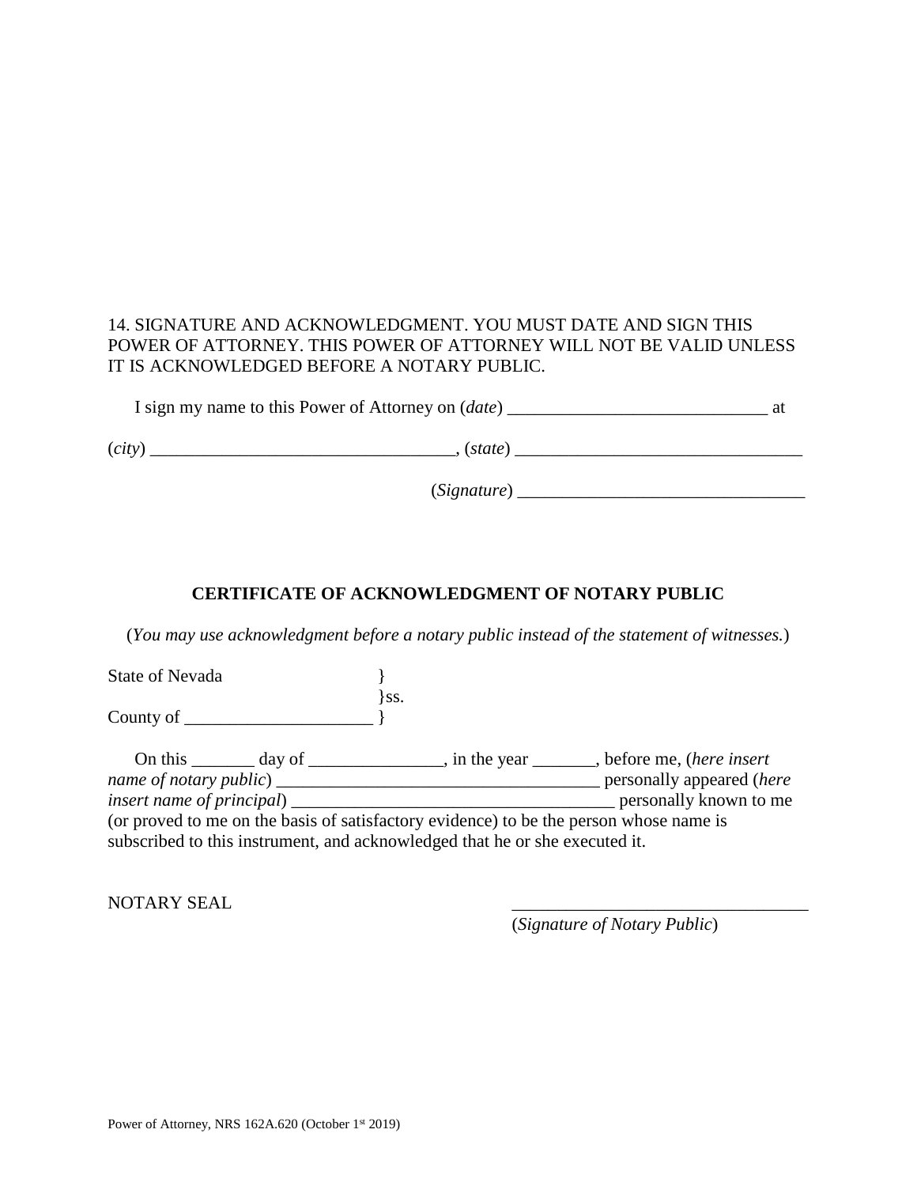# 14. SIGNATURE AND ACKNOWLEDGMENT. YOU MUST DATE AND SIGN THIS POWER OF ATTORNEY. THIS POWER OF ATTORNEY WILL NOT BE VALID UNLESS IT IS ACKNOWLEDGED BEFORE A NOTARY PUBLIC.

I sign my name to this Power of Attorney on (*date*) \_\_\_\_\_\_\_\_\_\_\_\_\_\_\_\_\_\_\_\_\_\_\_\_\_\_\_\_\_ at

(*city*) \_\_\_\_\_\_\_\_\_\_\_\_\_\_\_\_\_\_\_\_\_\_\_\_\_\_\_\_\_\_\_\_\_\_, (*state*) \_\_\_\_\_\_\_\_\_\_\_\_\_\_\_\_\_\_\_\_\_\_\_\_\_\_\_\_\_\_\_\_

(*Signature*) \_\_\_\_\_\_\_\_\_\_\_\_\_\_\_\_\_\_\_\_\_\_\_\_\_\_\_\_\_\_\_\_

# **CERTIFICATE OF ACKNOWLEDGMENT OF NOTARY PUBLIC**

(*You may use acknowledgment before a notary public instead of the statement of witnesses.*)

State of Nevada  $\{$ }ss. County of \_\_\_\_\_\_\_\_\_\_\_\_\_\_\_\_\_\_\_\_\_ } On this \_\_\_\_\_\_\_ day of \_\_\_\_\_\_\_\_\_\_\_\_\_\_\_, in the year \_\_\_\_\_\_\_, before me, (*here insert name of notary public*) \_\_\_\_\_\_\_\_\_\_\_\_\_\_\_\_\_\_\_\_\_\_\_\_\_\_\_\_\_\_\_\_\_\_\_\_ personally appeared (*here insert name of principal*) \_\_\_\_\_\_\_\_\_\_\_\_\_\_\_\_\_\_\_\_\_\_\_\_\_\_\_\_\_\_\_\_\_\_\_\_ personally known to me (or proved to me on the basis of satisfactory evidence) to be the person whose name is subscribed to this instrument, and acknowledged that he or she executed it.

NOTARY SEAL

(*Signature of Notary Public*)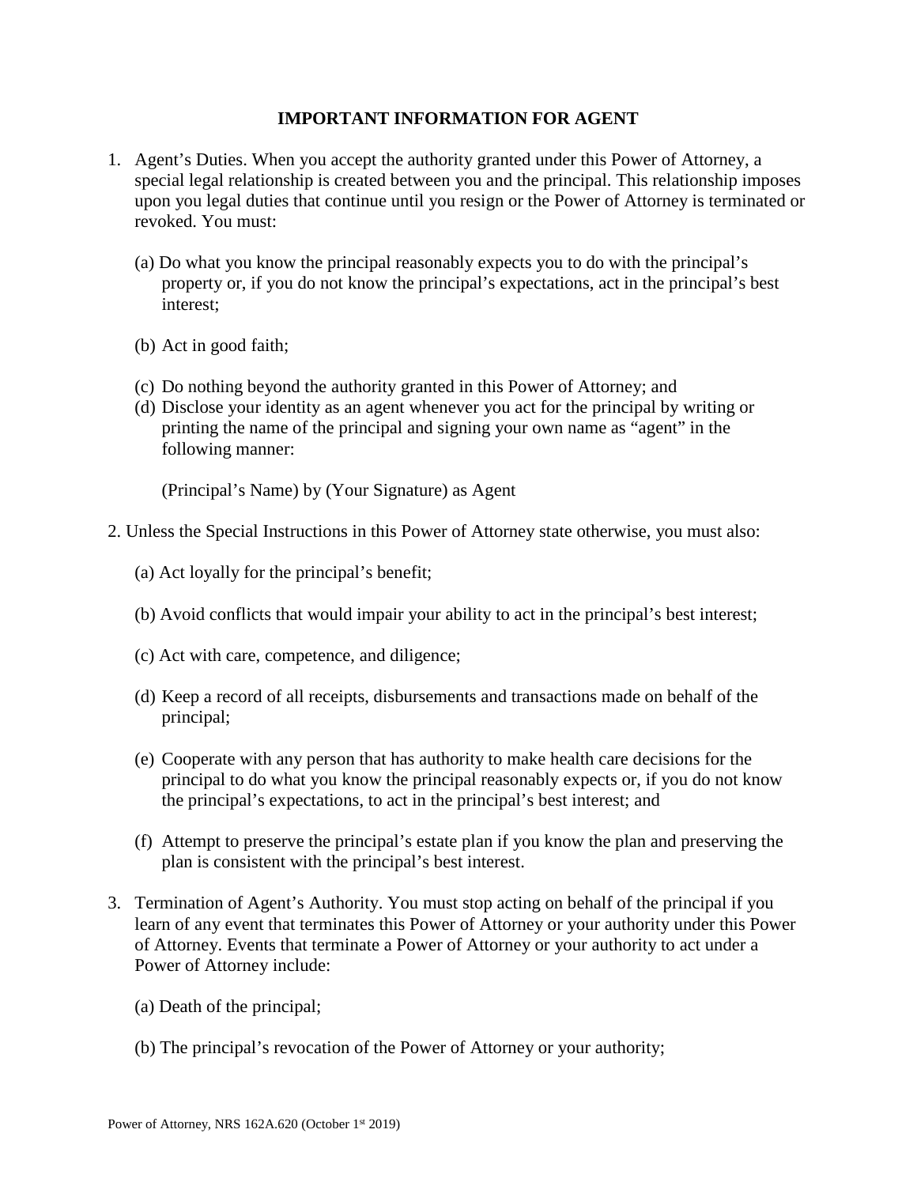### **IMPORTANT INFORMATION FOR AGENT**

- 1. Agent's Duties. When you accept the authority granted under this Power of Attorney, a special legal relationship is created between you and the principal. This relationship imposes upon you legal duties that continue until you resign or the Power of Attorney is terminated or revoked. You must:
	- (a) Do what you know the principal reasonably expects you to do with the principal's property or, if you do not know the principal's expectations, act in the principal's best interest;
	- (b) Act in good faith;
	- (c) Do nothing beyond the authority granted in this Power of Attorney; and
	- (d) Disclose your identity as an agent whenever you act for the principal by writing or printing the name of the principal and signing your own name as "agent" in the following manner:

(Principal's Name) by (Your Signature) as Agent

- 2. Unless the Special Instructions in this Power of Attorney state otherwise, you must also:
	- (a) Act loyally for the principal's benefit;
	- (b) Avoid conflicts that would impair your ability to act in the principal's best interest;
	- (c) Act with care, competence, and diligence;
	- (d) Keep a record of all receipts, disbursements and transactions made on behalf of the principal;
	- (e) Cooperate with any person that has authority to make health care decisions for the principal to do what you know the principal reasonably expects or, if you do not know the principal's expectations, to act in the principal's best interest; and
	- (f) Attempt to preserve the principal's estate plan if you know the plan and preserving the plan is consistent with the principal's best interest.
- 3. Termination of Agent's Authority. You must stop acting on behalf of the principal if you learn of any event that terminates this Power of Attorney or your authority under this Power of Attorney. Events that terminate a Power of Attorney or your authority to act under a Power of Attorney include:
	- (a) Death of the principal;
	- (b) The principal's revocation of the Power of Attorney or your authority;